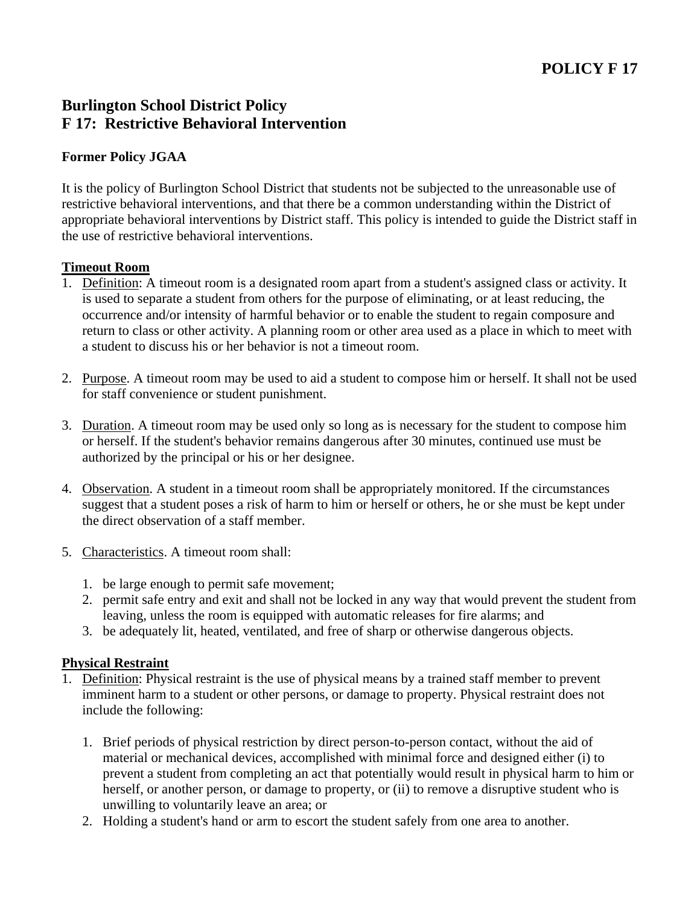# **Burlington School District Policy F 17: Restrictive Behavioral Intervention**

## **Former Policy JGAA**

It is the policy of Burlington School District that students not be subjected to the unreasonable use of restrictive behavioral interventions, and that there be a common understanding within the District of appropriate behavioral interventions by District staff. This policy is intended to guide the District staff in the use of restrictive behavioral interventions.

### **Timeout Room**

- 1. Definition: A timeout room is a designated room apart from a student's assigned class or activity. It is used to separate a student from others for the purpose of eliminating, or at least reducing, the occurrence and/or intensity of harmful behavior or to enable the student to regain composure and return to class or other activity. A planning room or other area used as a place in which to meet with a student to discuss his or her behavior is not a timeout room.
- 2. Purpose. A timeout room may be used to aid a student to compose him or herself. It shall not be used for staff convenience or student punishment.
- 3. Duration. A timeout room may be used only so long as is necessary for the student to compose him or herself. If the student's behavior remains dangerous after 30 minutes, continued use must be authorized by the principal or his or her designee.
- 4. Observation. A student in a timeout room shall be appropriately monitored. If the circumstances suggest that a student poses a risk of harm to him or herself or others, he or she must be kept under the direct observation of a staff member.
- 5. Characteristics. A timeout room shall:
	- 1. be large enough to permit safe movement;
	- 2. permit safe entry and exit and shall not be locked in any way that would prevent the student from leaving, unless the room is equipped with automatic releases for fire alarms; and
	- 3. be adequately lit, heated, ventilated, and free of sharp or otherwise dangerous objects.

### **Physical Restraint**

- 1. Definition: Physical restraint is the use of physical means by a trained staff member to prevent imminent harm to a student or other persons, or damage to property. Physical restraint does not include the following:
	- 1. Brief periods of physical restriction by direct person-to-person contact, without the aid of material or mechanical devices, accomplished with minimal force and designed either (i) to prevent a student from completing an act that potentially would result in physical harm to him or herself, or another person, or damage to property, or (ii) to remove a disruptive student who is unwilling to voluntarily leave an area; or
	- 2. Holding a student's hand or arm to escort the student safely from one area to another.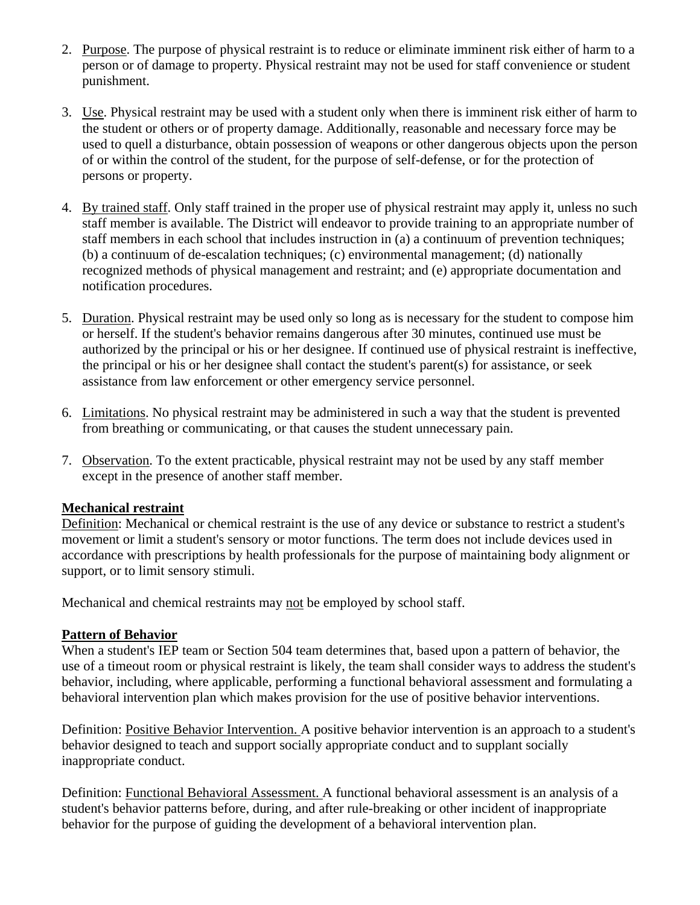- 2. Purpose. The purpose of physical restraint is to reduce or eliminate imminent risk either of harm to a person or of damage to property. Physical restraint may not be used for staff convenience or student punishment.
- 3. Use. Physical restraint may be used with a student only when there is imminent risk either of harm to the student or others or of property damage. Additionally, reasonable and necessary force may be used to quell a disturbance, obtain possession of weapons or other dangerous objects upon the person of or within the control of the student, for the purpose of self-defense, or for the protection of persons or property.
- 4. By trained staff. Only staff trained in the proper use of physical restraint may apply it, unless no such staff member is available. The District will endeavor to provide training to an appropriate number of staff members in each school that includes instruction in (a) a continuum of prevention techniques; (b) a continuum of de-escalation techniques; (c) environmental management; (d) nationally recognized methods of physical management and restraint; and (e) appropriate documentation and notification procedures.
- 5. Duration. Physical restraint may be used only so long as is necessary for the student to compose him or herself. If the student's behavior remains dangerous after 30 minutes, continued use must be authorized by the principal or his or her designee. If continued use of physical restraint is ineffective, the principal or his or her designee shall contact the student's parent(s) for assistance, or seek assistance from law enforcement or other emergency service personnel.
- 6. Limitations. No physical restraint may be administered in such a way that the student is prevented from breathing or communicating, or that causes the student unnecessary pain.
- 7. Observation. To the extent practicable, physical restraint may not be used by any staff member except in the presence of another staff member.

### **Mechanical restraint**

Definition: Mechanical or chemical restraint is the use of any device or substance to restrict a student's movement or limit a student's sensory or motor functions. The term does not include devices used in accordance with prescriptions by health professionals for the purpose of maintaining body alignment or support, or to limit sensory stimuli.

Mechanical and chemical restraints may not be employed by school staff.

### **Pattern of Behavior**

When a student's IEP team or Section 504 team determines that, based upon a pattern of behavior, the use of a timeout room or physical restraint is likely, the team shall consider ways to address the student's behavior, including, where applicable, performing a functional behavioral assessment and formulating a behavioral intervention plan which makes provision for the use of positive behavior interventions.

Definition: Positive Behavior Intervention. A positive behavior intervention is an approach to a student's behavior designed to teach and support socially appropriate conduct and to supplant socially inappropriate conduct.

Definition: Functional Behavioral Assessment. A functional behavioral assessment is an analysis of a student's behavior patterns before, during, and after rule-breaking or other incident of inappropriate behavior for the purpose of guiding the development of a behavioral intervention plan.